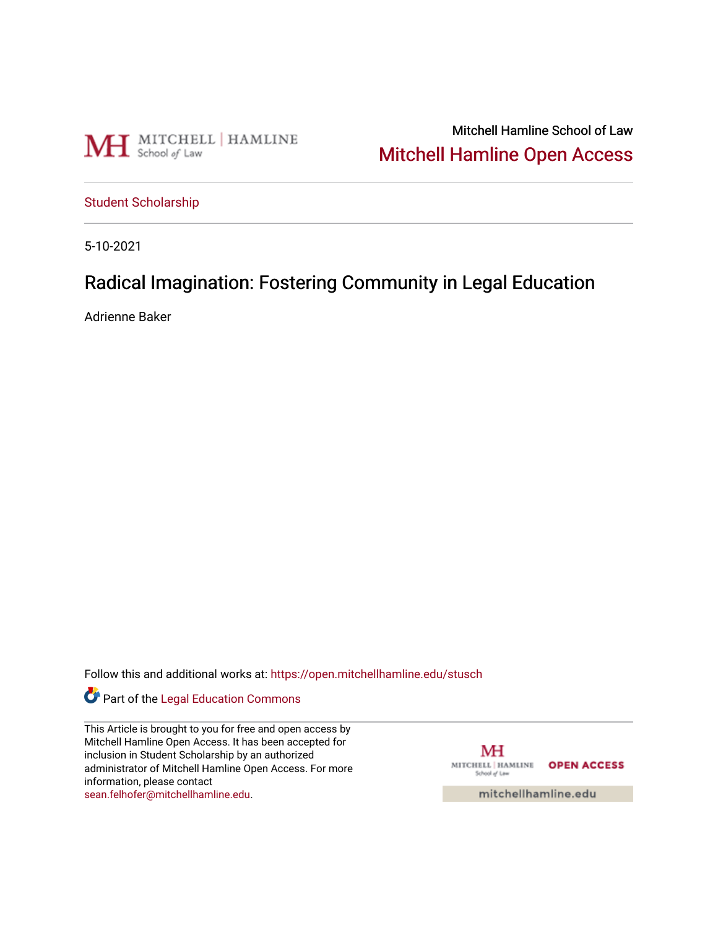

Mitchell Hamline School of Law [Mitchell Hamline Open Access](https://open.mitchellhamline.edu/) 

[Student Scholarship](https://open.mitchellhamline.edu/stusch)

5-10-2021

# Radical Imagination: Fostering Community in Legal Education

Adrienne Baker

Follow this and additional works at: [https://open.mitchellhamline.edu/stusch](https://open.mitchellhamline.edu/stusch?utm_source=open.mitchellhamline.edu%2Fstusch%2F9&utm_medium=PDF&utm_campaign=PDFCoverPages) 

Part of the [Legal Education Commons](https://network.bepress.com/hgg/discipline/857?utm_source=open.mitchellhamline.edu%2Fstusch%2F9&utm_medium=PDF&utm_campaign=PDFCoverPages) 

This Article is brought to you for free and open access by Mitchell Hamline Open Access. It has been accepted for inclusion in Student Scholarship by an authorized administrator of Mitchell Hamline Open Access. For more information, please contact [sean.felhofer@mitchellhamline.edu](mailto:sean.felhofer@mitchellhamline.edu).

МH MITCHELL | HAMLINE OPEN ACCESS School of Law

mitchellhamline.edu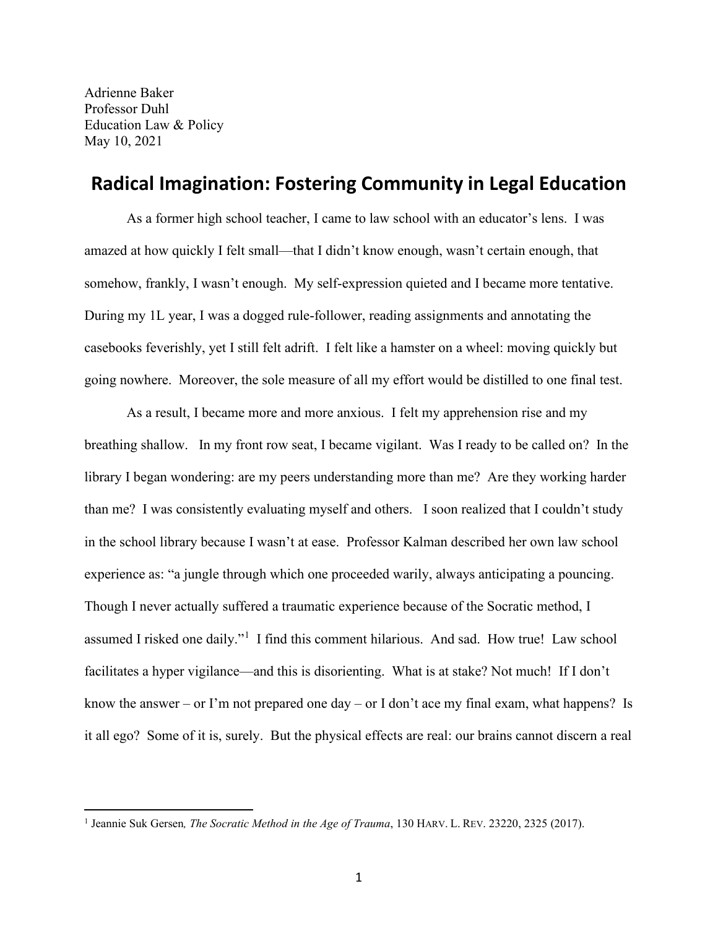Adrienne Baker Professor Duhl Education Law & Policy May 10, 2021

# **Radical Imagination: Fostering Community in Legal Education**

As a former high school teacher, I came to law school with an educator's lens. I was amazed at how quickly I felt small—that I didn't know enough, wasn't certain enough, that somehow, frankly, I wasn't enough. My self-expression quieted and I became more tentative. During my 1L year, I was a dogged rule-follower, reading assignments and annotating the casebooks feverishly, yet I still felt adrift. I felt like a hamster on a wheel: moving quickly but going nowhere. Moreover, the sole measure of all my effort would be distilled to one final test.

As a result, I became more and more anxious. I felt my apprehension rise and my breathing shallow. In my front row seat, I became vigilant. Was I ready to be called on? In the library I began wondering: are my peers understanding more than me? Are they working harder than me? I was consistently evaluating myself and others. I soon realized that I couldn't study in the school library because I wasn't at ease. Professor Kalman described her own law school experience as: "a jungle through which one proceeded warily, always anticipating a pouncing. Though I never actually suffered a traumatic experience because of the Socratic method, I assumed I risked one daily."<sup>[1](#page-1-0)</sup> I find this comment hilarious. And sad. How true! Law school facilitates a hyper vigilance—and this is disorienting. What is at stake? Not much! If I don't know the answer – or I'm not prepared one day – or I don't ace my final exam, what happens? Is it all ego? Some of it is, surely. But the physical effects are real: our brains cannot discern a real

<span id="page-1-0"></span><sup>1</sup> Jeannie Suk Gersen*, The Socratic Method in the Age of Trauma*, 130 HARV. L. REV. 23220, 2325 (2017).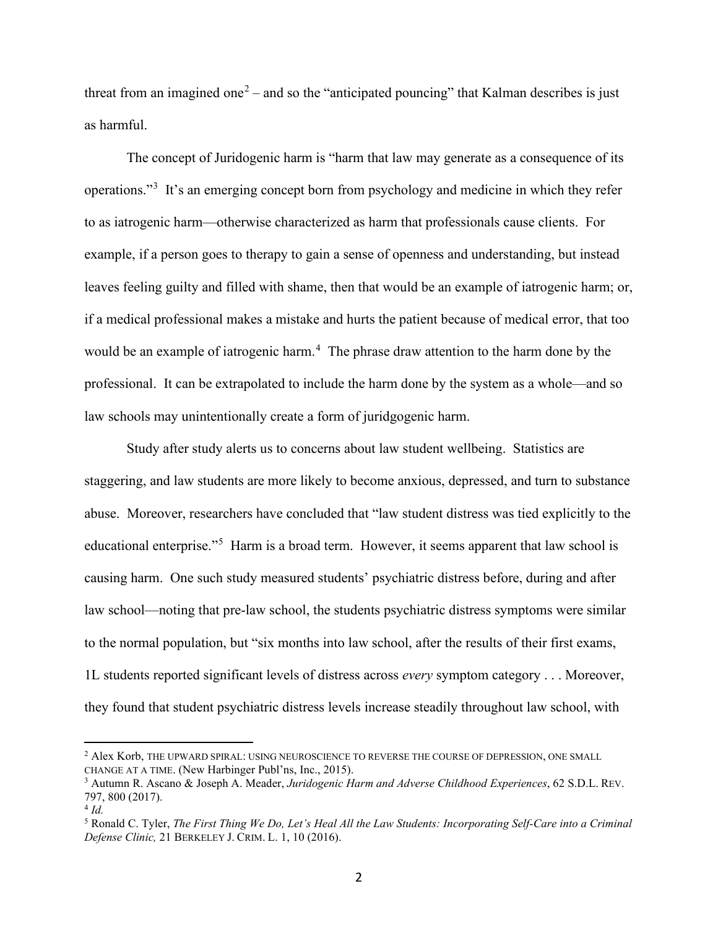threat from an imagined one<sup>[2](#page-2-0)</sup> – and so the "anticipated pouncing" that Kalman describes is just as harmful.

The concept of Juridogenic harm is "harm that law may generate as a consequence of its operations."<sup>[3](#page-2-1)</sup> It's an emerging concept born from psychology and medicine in which they refer to as iatrogenic harm—otherwise characterized as harm that professionals cause clients. For example, if a person goes to therapy to gain a sense of openness and understanding, but instead leaves feeling guilty and filled with shame, then that would be an example of iatrogenic harm; or, if a medical professional makes a mistake and hurts the patient because of medical error, that too would be an example of iatrogenic harm.<sup>[4](#page-2-2)</sup> The phrase draw attention to the harm done by the professional. It can be extrapolated to include the harm done by the system as a whole—and so law schools may unintentionally create a form of juridgogenic harm.

Study after study alerts us to concerns about law student wellbeing. Statistics are staggering, and law students are more likely to become anxious, depressed, and turn to substance abuse. Moreover, researchers have concluded that "law student distress was tied explicitly to the educational enterprise."<sup>[5](#page-2-3)</sup> Harm is a broad term. However, it seems apparent that law school is causing harm. One such study measured students' psychiatric distress before, during and after law school—noting that pre-law school, the students psychiatric distress symptoms were similar to the normal population, but "six months into law school, after the results of their first exams, 1L students reported significant levels of distress across *every* symptom category . . . Moreover, they found that student psychiatric distress levels increase steadily throughout law school, with

<span id="page-2-0"></span><sup>&</sup>lt;sup>2</sup> Alex Korb, THE UPWARD SPIRAL: USING NEUROSCIENCE TO REVERSE THE COURSE OF DEPRESSION, ONE SMALL CHANGE AT A TIME. (New Harbinger Publ'ns, Inc., 2015).

<span id="page-2-1"></span><sup>3</sup> Autumn R. Ascano & Joseph A. Meader, *Juridogenic Harm and Adverse Childhood Experiences*, 62 S.D.L. REV. 797, 800 (2017).

<span id="page-2-2"></span><sup>4</sup> *Id.* 

<span id="page-2-3"></span><sup>5</sup> Ronald C. Tyler, *The First Thing We Do, Let's Heal All the Law Students: Incorporating Self-Care into a Criminal Defense Clinic,* 21 BERKELEY J. CRIM. L. 1, 10 (2016).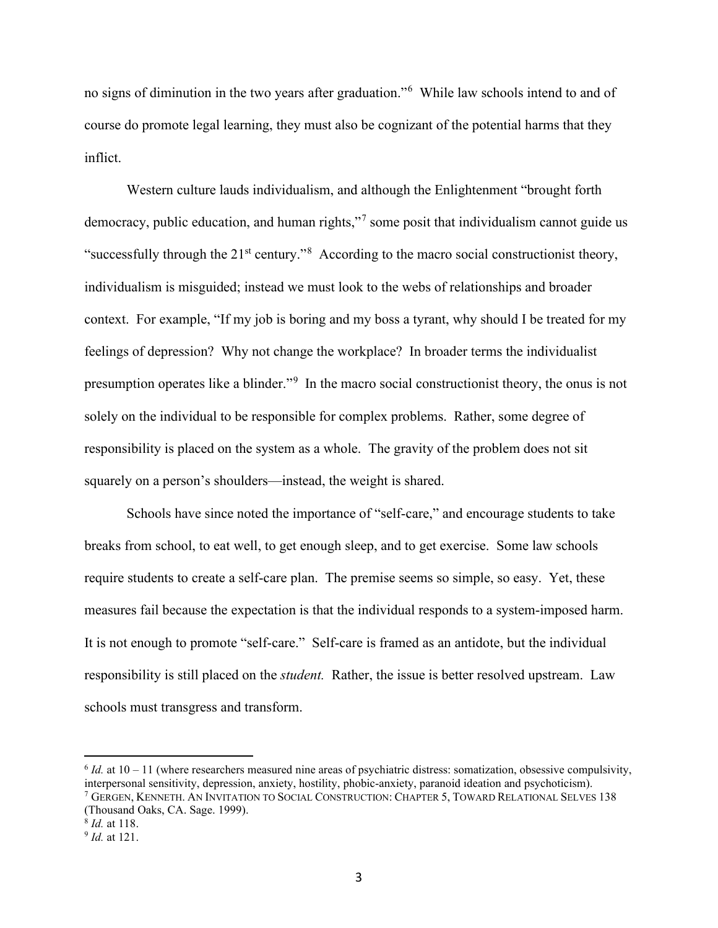no signs of diminution in the two years after graduation."[6](#page-3-0) While law schools intend to and of course do promote legal learning, they must also be cognizant of the potential harms that they inflict.

Western culture lauds individualism, and although the Enlightenment "brought forth democracy, public education, and human rights,"<sup>[7](#page-3-1)</sup> some posit that individualism cannot guide us "successfully through the  $21<sup>st</sup>$  century."<sup>[8](#page-3-2)</sup> According to the macro social constructionist theory, individualism is misguided; instead we must look to the webs of relationships and broader context. For example, "If my job is boring and my boss a tyrant, why should I be treated for my feelings of depression? Why not change the workplace? In broader terms the individualist presumption operates like a blinder."<sup>[9](#page-3-3)</sup> In the macro social constructionist theory, the onus is not solely on the individual to be responsible for complex problems. Rather, some degree of responsibility is placed on the system as a whole. The gravity of the problem does not sit squarely on a person's shoulders—instead, the weight is shared.

Schools have since noted the importance of "self-care," and encourage students to take breaks from school, to eat well, to get enough sleep, and to get exercise. Some law schools require students to create a self-care plan. The premise seems so simple, so easy. Yet, these measures fail because the expectation is that the individual responds to a system-imposed harm. It is not enough to promote "self-care." Self-care is framed as an antidote, but the individual responsibility is still placed on the *student.* Rather, the issue is better resolved upstream. Law schools must transgress and transform.

<span id="page-3-0"></span> $6$  *Id.* at  $10 - 11$  (where researchers measured nine areas of psychiatric distress: somatization, obsessive compulsivity, interpersonal sensitivity, depression, anxiety, hostility, phobic-anxiety, paranoid ideation and psychoticism). <sup>7</sup> GERGEN, KENNETH. AN INVITATION TO SOCIAL CONSTRUCTION: CHAPTER 5, TOWARD RELATIONAL SELVES 138 (Thousand Oaks, CA. Sage. 1999).

<span id="page-3-2"></span><span id="page-3-1"></span><sup>8</sup> *Id.* at 118.

<span id="page-3-3"></span><sup>9</sup> *Id.* at 121.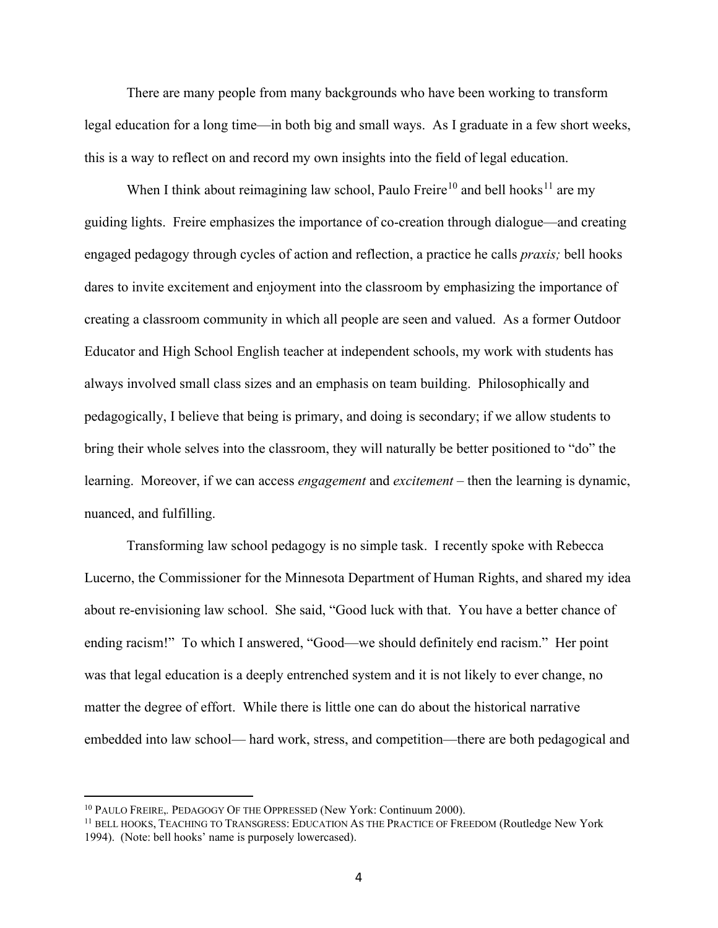There are many people from many backgrounds who have been working to transform legal education for a long time—in both big and small ways. As I graduate in a few short weeks, this is a way to reflect on and record my own insights into the field of legal education.

When I think about reimagining law school, Paulo Freire<sup>[10](#page-4-0)</sup> and bell hooks<sup>[11](#page-4-1)</sup> are my guiding lights. Freire emphasizes the importance of co-creation through dialogue—and creating engaged pedagogy through cycles of action and reflection, a practice he calls *praxis;* bell hooks dares to invite excitement and enjoyment into the classroom by emphasizing the importance of creating a classroom community in which all people are seen and valued. As a former Outdoor Educator and High School English teacher at independent schools, my work with students has always involved small class sizes and an emphasis on team building. Philosophically and pedagogically, I believe that being is primary, and doing is secondary; if we allow students to bring their whole selves into the classroom, they will naturally be better positioned to "do" the learning. Moreover, if we can access *engagement* and *excitement* – then the learning is dynamic, nuanced, and fulfilling.

Transforming law school pedagogy is no simple task. I recently spoke with Rebecca Lucerno, the Commissioner for the Minnesota Department of Human Rights, and shared my idea about re-envisioning law school. She said, "Good luck with that. You have a better chance of ending racism!" To which I answered, "Good—we should definitely end racism." Her point was that legal education is a deeply entrenched system and it is not likely to ever change, no matter the degree of effort. While there is little one can do about the historical narrative embedded into law school— hard work, stress, and competition—there are both pedagogical and

<span id="page-4-0"></span><sup>&</sup>lt;sup>10</sup> PAULO FREIRE, PEDAGOGY OF THE OPPRESSED (New York: Continuum 2000).

<span id="page-4-1"></span><sup>&</sup>lt;sup>11</sup> BELL HOOKS, TEACHING TO TRANSGRESS: EDUCATION AS THE PRACTICE OF FREEDOM (Routledge New York 1994). (Note: bell hooks' name is purposely lowercased).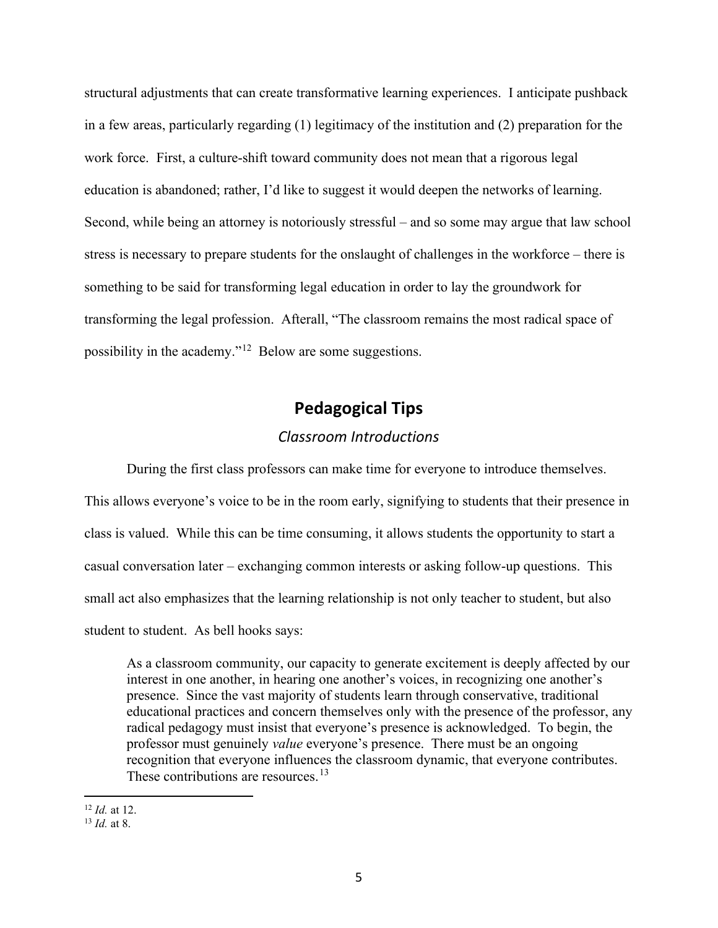structural adjustments that can create transformative learning experiences. I anticipate pushback in a few areas, particularly regarding (1) legitimacy of the institution and (2) preparation for the work force. First, a culture-shift toward community does not mean that a rigorous legal education is abandoned; rather, I'd like to suggest it would deepen the networks of learning. Second, while being an attorney is notoriously stressful – and so some may argue that law school stress is necessary to prepare students for the onslaught of challenges in the workforce – there is something to be said for transforming legal education in order to lay the groundwork for transforming the legal profession. Afterall, "The classroom remains the most radical space of possibility in the academy."[12](#page-5-0) Below are some suggestions.

# **Pedagogical Tips**

### *Classroom Introductions*

During the first class professors can make time for everyone to introduce themselves. This allows everyone's voice to be in the room early, signifying to students that their presence in class is valued. While this can be time consuming, it allows students the opportunity to start a casual conversation later – exchanging common interests or asking follow-up questions. This small act also emphasizes that the learning relationship is not only teacher to student, but also student to student. As bell hooks says:

As a classroom community, our capacity to generate excitement is deeply affected by our interest in one another, in hearing one another's voices, in recognizing one another's presence. Since the vast majority of students learn through conservative, traditional educational practices and concern themselves only with the presence of the professor, any radical pedagogy must insist that everyone's presence is acknowledged. To begin, the professor must genuinely *value* everyone's presence. There must be an ongoing recognition that everyone influences the classroom dynamic, that everyone contributes. These contributions are resources.<sup>[13](#page-5-1)</sup>

<span id="page-5-0"></span><sup>12</sup> *Id.* at 12.

<span id="page-5-1"></span><sup>13</sup> *Id.* at 8.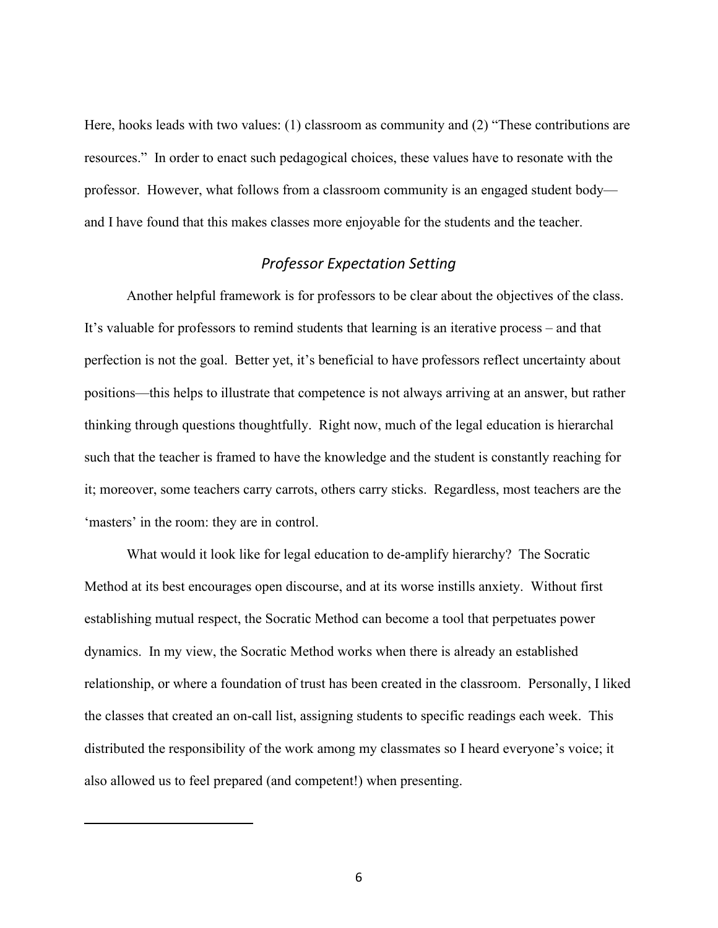Here, hooks leads with two values: (1) classroom as community and (2) "These contributions are resources." In order to enact such pedagogical choices, these values have to resonate with the professor. However, what follows from a classroom community is an engaged student body and I have found that this makes classes more enjoyable for the students and the teacher.

### *Professor Expectation Setting*

Another helpful framework is for professors to be clear about the objectives of the class. It's valuable for professors to remind students that learning is an iterative process – and that perfection is not the goal. Better yet, it's beneficial to have professors reflect uncertainty about positions—this helps to illustrate that competence is not always arriving at an answer, but rather thinking through questions thoughtfully. Right now, much of the legal education is hierarchal such that the teacher is framed to have the knowledge and the student is constantly reaching for it; moreover, some teachers carry carrots, others carry sticks. Regardless, most teachers are the 'masters' in the room: they are in control.

What would it look like for legal education to de-amplify hierarchy? The Socratic Method at its best encourages open discourse, and at its worse instills anxiety. Without first establishing mutual respect, the Socratic Method can become a tool that perpetuates power dynamics. In my view, the Socratic Method works when there is already an established relationship, or where a foundation of trust has been created in the classroom. Personally, I liked the classes that created an on-call list, assigning students to specific readings each week. This distributed the responsibility of the work among my classmates so I heard everyone's voice; it also allowed us to feel prepared (and competent!) when presenting.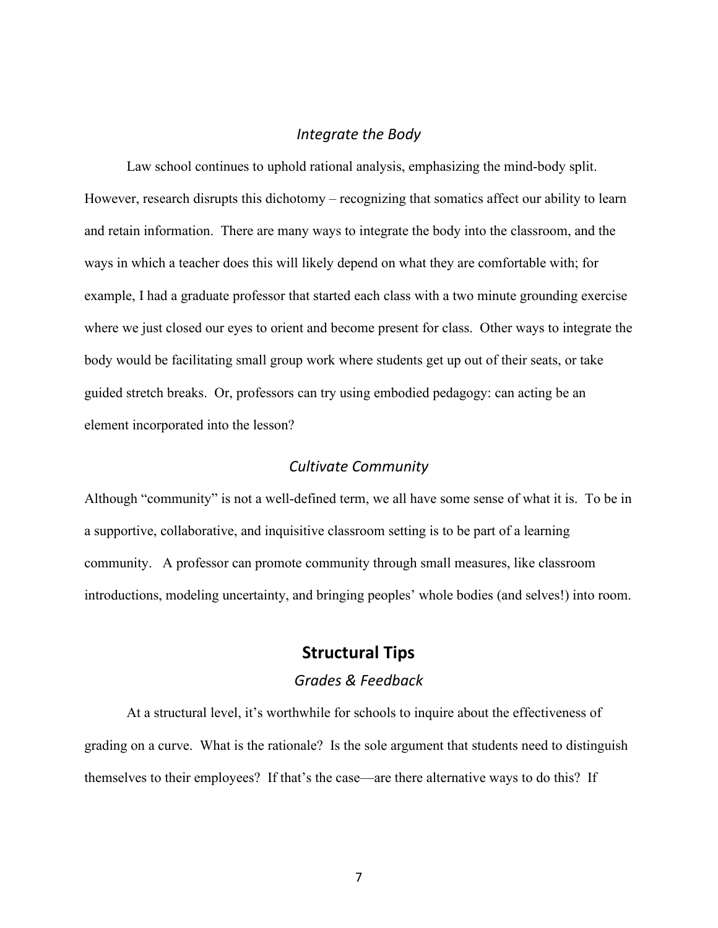#### *Integrate the Body*

Law school continues to uphold rational analysis, emphasizing the mind-body split. However, research disrupts this dichotomy – recognizing that somatics affect our ability to learn and retain information. There are many ways to integrate the body into the classroom, and the ways in which a teacher does this will likely depend on what they are comfortable with; for example, I had a graduate professor that started each class with a two minute grounding exercise where we just closed our eyes to orient and become present for class. Other ways to integrate the body would be facilitating small group work where students get up out of their seats, or take guided stretch breaks. Or, professors can try using embodied pedagogy: can acting be an element incorporated into the lesson?

#### *Cultivate Community*

Although "community" is not a well-defined term, we all have some sense of what it is. To be in a supportive, collaborative, and inquisitive classroom setting is to be part of a learning community. A professor can promote community through small measures, like classroom introductions, modeling uncertainty, and bringing peoples' whole bodies (and selves!) into room.

## **Structural Tips**

### *Grades & Feedback*

At a structural level, it's worthwhile for schools to inquire about the effectiveness of grading on a curve. What is the rationale? Is the sole argument that students need to distinguish themselves to their employees? If that's the case—are there alternative ways to do this? If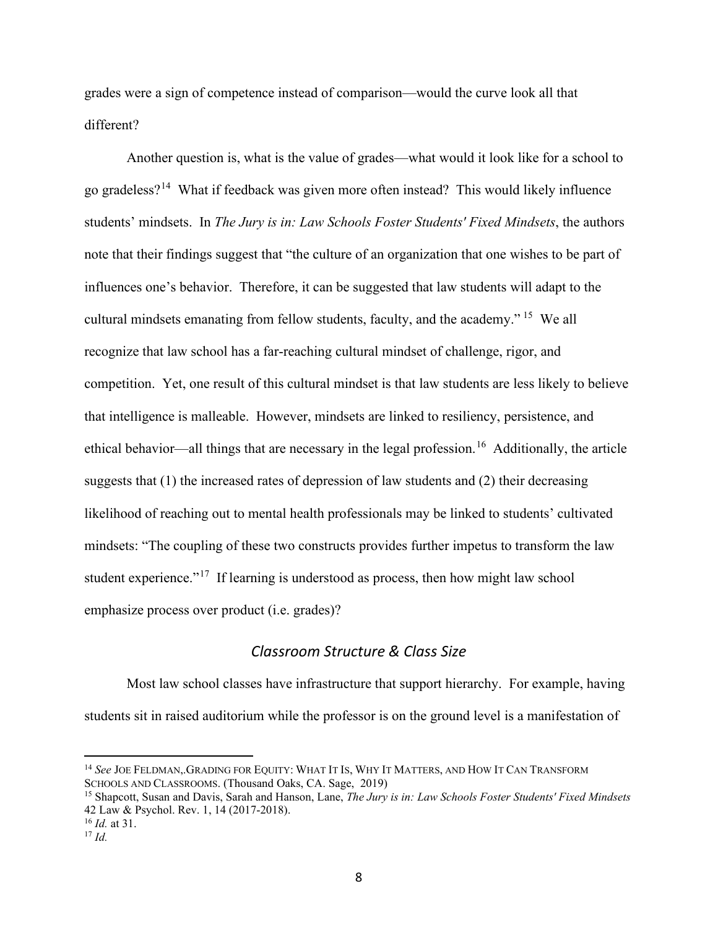grades were a sign of competence instead of comparison—would the curve look all that different?

Another question is, what is the value of grades—what would it look like for a school to go gradeless?[14](#page-8-0) What if feedback was given more often instead? This would likely influence students' mindsets. In *The Jury is in: Law Schools Foster Students' Fixed Mindsets*, the authors note that their findings suggest that "the culture of an organization that one wishes to be part of influences one's behavior. Therefore, it can be suggested that law students will adapt to the cultural mindsets emanating from fellow students, faculty, and the academy." [15](#page-8-1) We all recognize that law school has a far-reaching cultural mindset of challenge, rigor, and competition. Yet, one result of this cultural mindset is that law students are less likely to believe that intelligence is malleable. However, mindsets are linked to resiliency, persistence, and ethical behavior—all things that are necessary in the legal profession.<sup>16</sup> Additionally, the article suggests that (1) the increased rates of depression of law students and (2) their decreasing likelihood of reaching out to mental health professionals may be linked to students' cultivated mindsets: "The coupling of these two constructs provides further impetus to transform the law student experience."<sup>17</sup> If learning is understood as process, then how might law school emphasize process over product (i.e. grades)?

### *Classroom Structure & Class Size*

Most law school classes have infrastructure that support hierarchy. For example, having students sit in raised auditorium while the professor is on the ground level is a manifestation of

<span id="page-8-0"></span><sup>14</sup> *See* JOE FELDMAN,.GRADING FOR EQUITY: WHAT IT IS, WHY IT MATTERS, AND HOW IT CAN TRANSFORM SCHOOLS AND CLASSROOMS. (Thousand Oaks, CA. Sage, 2019)

<span id="page-8-1"></span><sup>15</sup> Shapcott, Susan and Davis, Sarah and Hanson, Lane, *The Jury is in: Law Schools Foster Students' Fixed Mindsets* 42 Law & Psychol. Rev. 1, 14 (2017-2018).

<span id="page-8-2"></span><sup>16</sup> *Id.* at 31.

<span id="page-8-3"></span> $^{17}$  *Id.*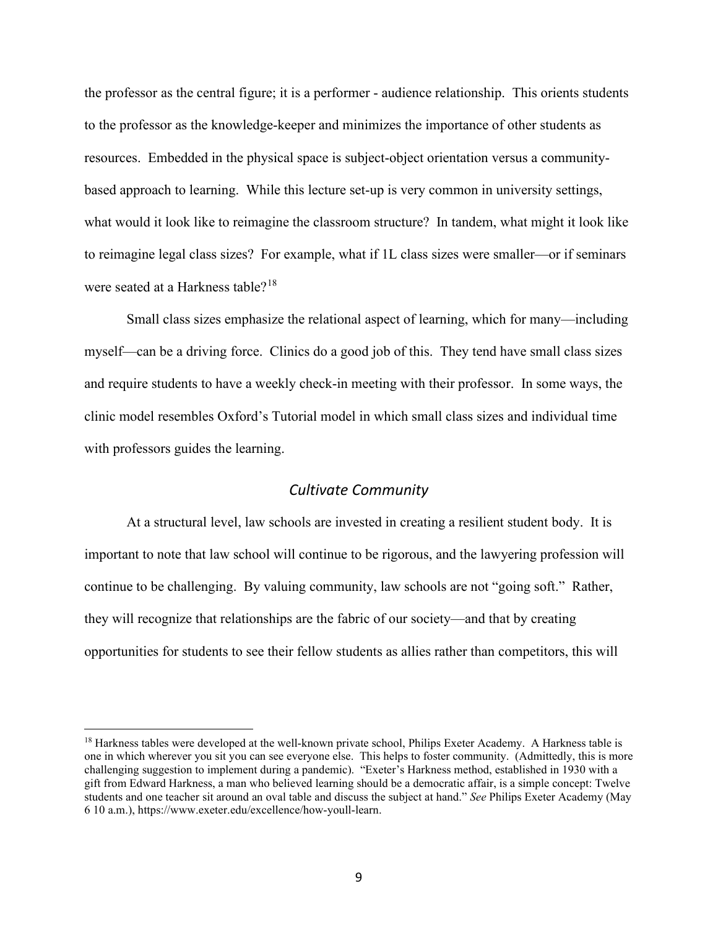the professor as the central figure; it is a performer - audience relationship. This orients students to the professor as the knowledge-keeper and minimizes the importance of other students as resources. Embedded in the physical space is subject-object orientation versus a communitybased approach to learning. While this lecture set-up is very common in university settings, what would it look like to reimagine the classroom structure? In tandem, what might it look like to reimagine legal class sizes? For example, what if 1L class sizes were smaller—or if seminars were seated at a Harkness table?<sup>[18](#page-9-0)</sup>

Small class sizes emphasize the relational aspect of learning, which for many—including myself—can be a driving force. Clinics do a good job of this. They tend have small class sizes and require students to have a weekly check-in meeting with their professor. In some ways, the clinic model resembles Oxford's Tutorial model in which small class sizes and individual time with professors guides the learning.

#### *Cultivate Community*

At a structural level, law schools are invested in creating a resilient student body. It is important to note that law school will continue to be rigorous, and the lawyering profession will continue to be challenging. By valuing community, law schools are not "going soft." Rather, they will recognize that relationships are the fabric of our society—and that by creating opportunities for students to see their fellow students as allies rather than competitors, this will

<span id="page-9-0"></span><sup>&</sup>lt;sup>18</sup> Harkness tables were developed at the well-known private school, Philips Exeter Academy. A Harkness table is one in which wherever you sit you can see everyone else. This helps to foster community. (Admittedly, this is more challenging suggestion to implement during a pandemic). "Exeter's Harkness method, established in 1930 with a gift from Edward Harkness, a man who believed learning should be a democratic affair, is a simple concept: Twelve students and one teacher sit around an oval table and discuss the subject at hand." *See* Philips Exeter Academy (May 6 10 a.m.), https://www.exeter.edu/excellence/how-youll-learn.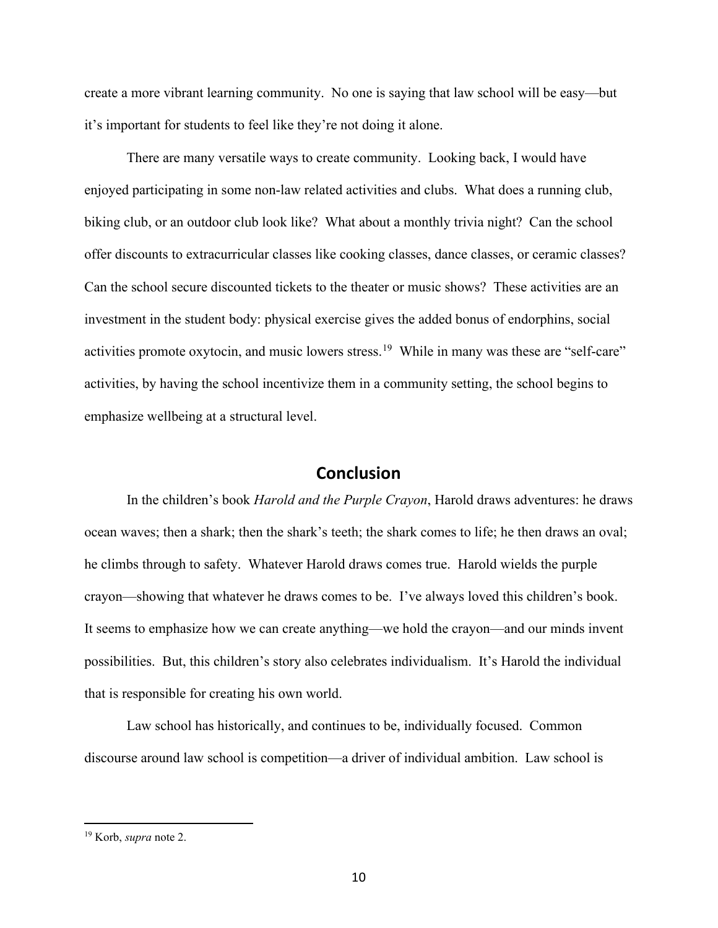create a more vibrant learning community. No one is saying that law school will be easy—but it's important for students to feel like they're not doing it alone.

There are many versatile ways to create community. Looking back, I would have enjoyed participating in some non-law related activities and clubs. What does a running club, biking club, or an outdoor club look like? What about a monthly trivia night? Can the school offer discounts to extracurricular classes like cooking classes, dance classes, or ceramic classes? Can the school secure discounted tickets to the theater or music shows? These activities are an investment in the student body: physical exercise gives the added bonus of endorphins, social activities promote oxytocin, and music lowers stress.<sup>19</sup> While in many was these are "self-care" activities, by having the school incentivize them in a community setting, the school begins to emphasize wellbeing at a structural level.

# **Conclusion**

In the children's book *Harold and the Purple Crayon*, Harold draws adventures: he draws ocean waves; then a shark; then the shark's teeth; the shark comes to life; he then draws an oval; he climbs through to safety. Whatever Harold draws comes true. Harold wields the purple crayon—showing that whatever he draws comes to be. I've always loved this children's book. It seems to emphasize how we can create anything—we hold the crayon—and our minds invent possibilities. But, this children's story also celebrates individualism. It's Harold the individual that is responsible for creating his own world.

Law school has historically, and continues to be, individually focused. Common discourse around law school is competition—a driver of individual ambition. Law school is

<span id="page-10-0"></span><sup>19</sup> Korb, *supra* note 2.